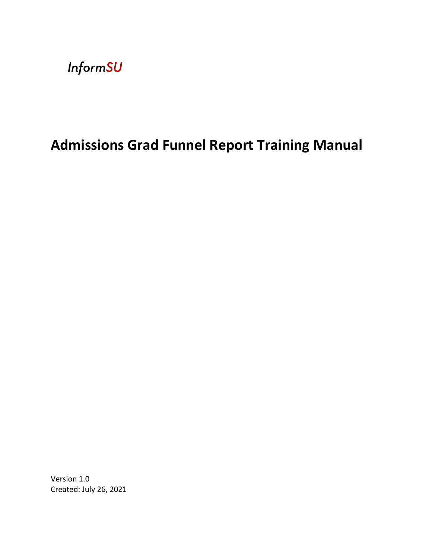**InformSU** 

# **Admissions Grad Funnel Report Training Manual**

Version 1.0 Created: July 26, 2021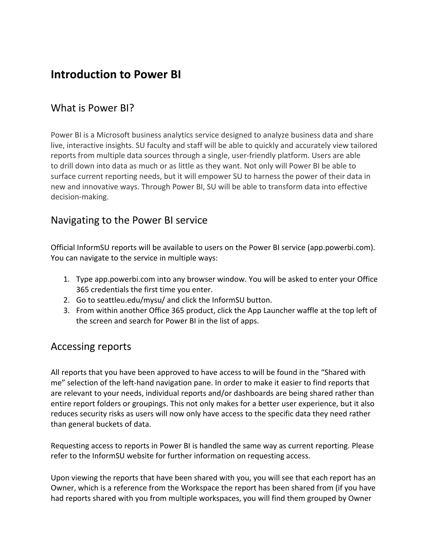## **Introduction to Power BI**

#### What is Power BI?

Power BI is a Microsoft business analytics service designed to analyze business data and share live, interactive insights. SU faculty and staff will be able to quickly and accurately view tailored reports from multiple data sources through a single, user-friendly platform. Users are able to drill down into data as much or as little as they want. Not only will Power BI be able to surface current reporting needs, but it will empower SU to harness the power of their data in new and innovative ways. Through Power BI, SU will be able to transform data into effective decision-making.

#### Navigating to the Power BI service

Official InformSU reports will be available to users on the Power BI service (app.powerbi.com). You can navigate to the service in multiple ways:

- 1. Type app.powerbi.com into any browser window. You will be asked to enter your Office 365 credentials the first time you enter.
- 2. Go to seattleu.edu/mysu/ and click the InformSU button.
- 3. From within another Office 365 product, click the App Launcher waffle at the top left of the screen and search for Power BI in the list of apps.

#### Accessing reports

All reports that you have been approved to have access to will be found in the "Shared with me" selection of the left-hand navigation pane. In order to make it easier to find reports that are relevant to your needs, individual reports and/or dashboards are being shared rather than entire report folders or groupings. This not only makes for a better user experience, but it also reduces security risks as users will now only have access to the specific data they need rather than general buckets of data.

Requesting access to reports in Power BI is handled the same way as current reporting. Please refer to the InformSU website for further information on requesting access.

Upon viewing the reports that have been shared with you, you will see that each report has an Owner, which is a reference from the Workspace the report has been shared from (if you have had reports shared with you from multiple workspaces, you will find them grouped by Owner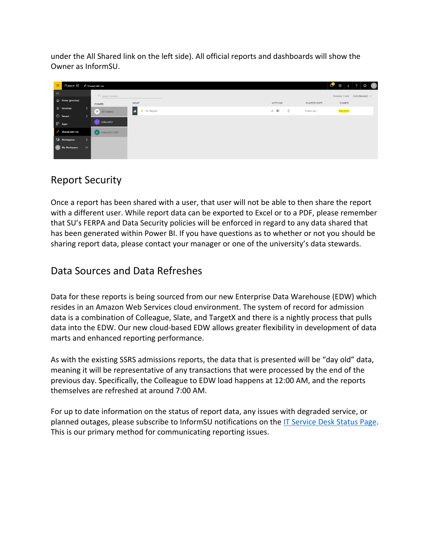under the All Shared link on the left side). All official reports and dashboards will show the Owner as InformSU.

| 田        | POWEr BI # Shared with me                   |        |                   |                                           |      |                |            |             |          |  | $\begin{array}{ c c c c c c }\n\hline\n\mathbf{C} & \otimes & \mathbf{L} & 2 & 0 & \mathbf{R}\n\end{array}$ |
|----------|---------------------------------------------|--------|-------------------|-------------------------------------------|------|----------------|------------|-------------|----------|--|-------------------------------------------------------------------------------------------------------------|
| $\equiv$ |                                             |        | Q Search content  |                                           |      |                |            |             |          |  | Showing 1 item  Date (Newest) $\vee$                                                                        |
|          | the Home (preview)                          |        | OWNER             | <b>NAME</b>                               |      | <b>ACTIONS</b> |            | SHARED DATE | OWNER    |  |                                                                                                             |
|          | $\overleftrightarrow{\mathbf{x}}$ Favorites |        | All shared        | <b>alt</b><br><b>GL Report</b><br>$\star$ | 12 国 |                | $\sqrt{1}$ | 6 days ago  | InformSU |  |                                                                                                             |
|          | <b>C</b> Recent                             | ⋗      |                   |                                           |      |                |            |             |          |  |                                                                                                             |
|          | $\mathbb{P}$ Apps                           |        | <b>I</b> InformSU |                                           |      |                |            |             |          |  |                                                                                                             |
|          | $g^R$ Shared with me                        |        | D InformSU-DEV    |                                           |      |                |            |             |          |  |                                                                                                             |
|          | <b>Workspaces</b>                           |        |                   |                                           |      |                |            |             |          |  |                                                                                                             |
|          | (A) My Workspace                            | $\sim$ |                   |                                           |      |                |            |             |          |  |                                                                                                             |
|          |                                             |        |                   |                                           |      |                |            |             |          |  |                                                                                                             |

#### Report Security

Once a report has been shared with a user, that user will not be able to then share the report with a different user. While report data can be exported to Excel or to a PDF, please remember that SU's FERPA and Data Security policies will be enforced in regard to any data shared that has been generated within Power BI. If you have questions as to whether or not you should be sharing report data, please contact your manager or one of the university's data stewards.

#### Data Sources and Data Refreshes

Data for these reports is being sourced from our new Enterprise Data Warehouse (EDW) which resides in an Amazon Web Services cloud environment. The system of record for admission data is a combination of Colleague, Slate, and TargetX and there is a nightly process that pulls data into the EDW. Our new cloud-based EDW allows greater flexibility in development of data marts and enhanced reporting performance.

As with the existing SSRS admissions reports, the data that is presented will be "day old" data, meaning it will be representative of any transactions that were processed by the end of the previous day. Specifically, the Colleague to EDW load happens at 12:00 AM, and the reports themselves are refreshed at around 7:00 AM.

For up to date information on the status of report data, any issues with degraded service, or planned outages, please subscribe to InformSU notifications on the IT Service Desk Status Page. This is our primary method for communicating reporting issues.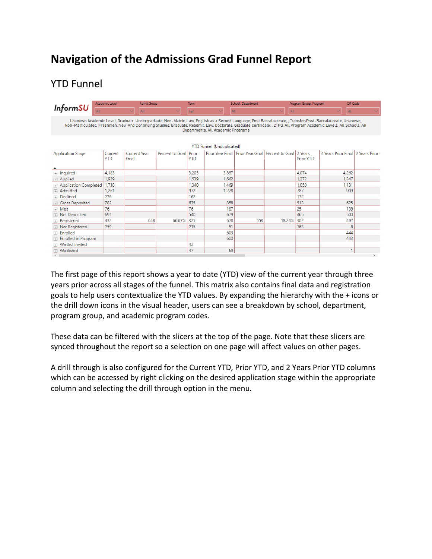# **Navigation of the Admissions Grad Funnel Report**

# YTD Funnel

|                                                                                                                                                                                                                                                                                                                                                                           | Academic Level        | Admit Group          |                 | Term                |                                  | School, Department |                                                                | Program Group, Program | <b>CIP Code</b>                     |  |
|---------------------------------------------------------------------------------------------------------------------------------------------------------------------------------------------------------------------------------------------------------------------------------------------------------------------------------------------------------------------------|-----------------------|----------------------|-----------------|---------------------|----------------------------------|--------------------|----------------------------------------------------------------|------------------------|-------------------------------------|--|
| <b>InformSU</b>                                                                                                                                                                                                                                                                                                                                                           |                       | AII                  |                 | Fall                | AII                              |                    | All                                                            |                        | All                                 |  |
| Unknown Academic Level, Graduate, Undergraduate, Non-Matric, Law, English as a Second Language, Post Baccalaureate, Transfer/Post-Baccalaureate, Unknown,<br>Non-Matriculated, Freshmen, New And Continuing Studies, Graduate, Readmit, Law, Doctorate, Graduate Certificate, , 21FQ, All Program Academic Levels, All Schools, All<br>Departments, All Academic Programs |                       |                      |                 |                     |                                  |                    |                                                                |                        |                                     |  |
|                                                                                                                                                                                                                                                                                                                                                                           |                       |                      |                 |                     | <b>YTD Funnel (Unduplicated)</b> |                    |                                                                |                        |                                     |  |
| <b>Application Stage</b>                                                                                                                                                                                                                                                                                                                                                  | Current<br><b>YTD</b> | Current Year<br>Goal | Percent to Goal | Prior<br><b>YTD</b> |                                  |                    | Prior Year Final   Prior Year Goal   Percent to Goal   2 Years | Prior YTD              | 2 Years Prior Final 2 Years Prior ( |  |
| $\Box$ Inquired                                                                                                                                                                                                                                                                                                                                                           | 4.183                 |                      |                 | 3,205               | 3,857                            |                    |                                                                | 4.074                  | 4.262                               |  |
| Applied<br>$+$                                                                                                                                                                                                                                                                                                                                                            | 1.929                 |                      |                 | 1.539               | 1,662                            |                    |                                                                | 1.272                  | 1,347                               |  |
| Application Completed                                                                                                                                                                                                                                                                                                                                                     | 1,738                 |                      |                 | 1,340               | 1.469                            |                    |                                                                | 1.050                  | 1,131                               |  |
| Admitted                                                                                                                                                                                                                                                                                                                                                                  | 1.261                 |                      |                 | 972                 | 1,228                            |                    |                                                                | 787                    | 909                                 |  |
| <b>E</b> Declined                                                                                                                                                                                                                                                                                                                                                         | 276                   |                      |                 | 162                 |                                  |                    |                                                                | 172                    |                                     |  |
| <b>□ Gross Deposited</b>                                                                                                                                                                                                                                                                                                                                                  | 782                   |                      |                 | 635                 | 858                              |                    |                                                                | 513                    | 625                                 |  |
| $\Box$ Melt                                                                                                                                                                                                                                                                                                                                                               | 76                    |                      |                 | 76                  | 187                              |                    |                                                                | 25                     | 138                                 |  |
| <b>IEL Net Deposited</b>                                                                                                                                                                                                                                                                                                                                                  | 691                   |                      |                 | 540                 | 679                              |                    |                                                                | 465                    | 500                                 |  |
| $\Box$ Registered                                                                                                                                                                                                                                                                                                                                                         | 432                   | 648                  | 66.67% 325      |                     | 628                              | 558                | 58,24% 302                                                     |                        | 492                                 |  |
| <b>E</b> Not Registered                                                                                                                                                                                                                                                                                                                                                   | 259                   |                      |                 | 215                 | 51                               |                    |                                                                | 163                    | 8                                   |  |
| Fi Enrolled                                                                                                                                                                                                                                                                                                                                                               |                       |                      |                 |                     | 603                              |                    |                                                                |                        | 444                                 |  |
| <b>Enrolled in Program</b>                                                                                                                                                                                                                                                                                                                                                |                       |                      |                 |                     | 600                              |                    |                                                                |                        | 442                                 |  |
| <b>Waitlist Invited</b>                                                                                                                                                                                                                                                                                                                                                   |                       |                      |                 | 42                  |                                  |                    |                                                                |                        |                                     |  |
| <b>I</b> Waitlisted                                                                                                                                                                                                                                                                                                                                                       |                       |                      |                 | 47                  | 69                               |                    |                                                                |                        |                                     |  |
| $\epsilon$ .                                                                                                                                                                                                                                                                                                                                                              |                       |                      |                 |                     |                                  |                    |                                                                |                        |                                     |  |

The first page of this report shows a year to date (YTD) view of the current year through three years prior across all stages of the funnel. This matrix also contains final data and registration goals to help users contextualize the YTD values. By expanding the hierarchy with the + icons or the drill down icons in the visual header, users can see a breakdown by school, department, program group, and academic program codes.

These data can be filtered with the slicers at the top of the page. Note that these slicers are synced throughout the report so a selection on one page will affect values on other pages.

A drill through is also configured for the Current YTD, Prior YTD, and 2 Years Prior YTD columns which can be accessed by right clicking on the desired application stage within the appropriate column and selecting the drill through option in the menu.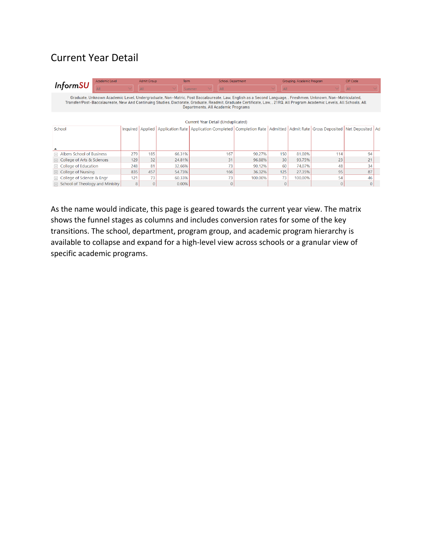### Current Year Detail

| Academic Level                                                                                                                                                                                                                                                                                                                                                              |          | <b>Admit Group</b> | Term   | School, Department                                                                                                        |         |     | Grouping, Academic Program |          | CIP Code |  |
|-----------------------------------------------------------------------------------------------------------------------------------------------------------------------------------------------------------------------------------------------------------------------------------------------------------------------------------------------------------------------------|----------|--------------------|--------|---------------------------------------------------------------------------------------------------------------------------|---------|-----|----------------------------|----------|----------|--|
| <b>InformSU</b>                                                                                                                                                                                                                                                                                                                                                             |          | All                |        | All<br>Summer                                                                                                             |         | All |                            |          | All      |  |
| Graduate, Unknown Academic Level, Undergraduate, Non-Matric, Post Baccalaureate, Law, English as a Second Language, , Freshmen, Unknown, Non-Matriculated,<br>Transfer/Post-Baccalaureate, New And Continuing Studies, Doctorate, Graduate, Readmit, Graduate Certificate, Law, , 21RQ, All Program Academic Levels, All Schools, All<br>Departments, All Academic Programs |          |                    |        |                                                                                                                           |         |     |                            |          |          |  |
|                                                                                                                                                                                                                                                                                                                                                                             |          |                    |        | Current Year Detail (Unduplicated)                                                                                        |         |     |                            |          |          |  |
| School                                                                                                                                                                                                                                                                                                                                                                      | Inquired | Applied            |        | Application Rate   Application Completed   Completion Rate   Admitted   Admit Rate   Gross Deposited   Net Deposited   Ad |         |     |                            |          |          |  |
|                                                                                                                                                                                                                                                                                                                                                                             |          |                    |        |                                                                                                                           |         |     |                            |          |          |  |
| Albers School of Business<br>匣                                                                                                                                                                                                                                                                                                                                              | 279      | 185                | 66.31% | 167                                                                                                                       | 90.27%  | 150 | 81.08%                     | 114      | 94       |  |
| College of Arts & Sciences                                                                                                                                                                                                                                                                                                                                                  | 129      | 32                 | 24.81% | 31                                                                                                                        | 96.88%  | 30  | 93.75%                     | 23       | 21       |  |
| College of Education                                                                                                                                                                                                                                                                                                                                                        | 248      | 81                 | 32.66% | 73                                                                                                                        | 90.12%  | 60  | 74.07%                     | 48       | 34       |  |
| College of Nursing<br>$+$                                                                                                                                                                                                                                                                                                                                                   | 835      | 457                | 54.73% | 166                                                                                                                       | 36.32%  | 125 | 27.35%                     | 95       | 87       |  |
| College of Science & Engr                                                                                                                                                                                                                                                                                                                                                   | 121      | 73                 | 60.33% | 73                                                                                                                        | 100.00% | 73  | 100.00%                    | 54       | 46       |  |
| School of Theology and Ministry                                                                                                                                                                                                                                                                                                                                             | 8        |                    | 0.00%  |                                                                                                                           |         |     |                            | $\Omega$ |          |  |

As the name would indicate, this page is geared towards the current year view. The matrix shows the funnel stages as columns and includes conversion rates for some of the key transitions. The school, department, program group, and academic program hierarchy is available to collapse and expand for a high-level view across schools or a granular view of specific academic programs.